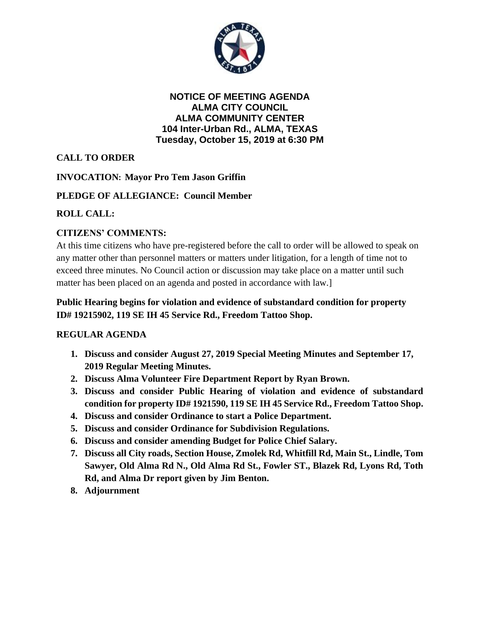

**NOTICE OF MEETING AGENDA ALMA CITY COUNCIL ALMA COMMUNITY CENTER 104 Inter-Urban Rd., ALMA, TEXAS Tuesday, October 15, 2019 at 6:30 PM**

**CALL TO ORDER**

**INVOCATION: Mayor Pro Tem Jason Griffin**

# **PLEDGE OF ALLEGIANCE: Council Member**

# **ROLL CALL:**

# **CITIZENS' COMMENTS:**

At this time citizens who have pre-registered before the call to order will be allowed to speak on any matter other than personnel matters or matters under litigation, for a length of time not to exceed three minutes. No Council action or discussion may take place on a matter until such matter has been placed on an agenda and posted in accordance with law.]

## **Public Hearing begins for violation and evidence of substandard condition for property ID# 19215902, 119 SE IH 45 Service Rd., Freedom Tattoo Shop.**

## **REGULAR AGENDA**

- **1. Discuss and consider August 27, 2019 Special Meeting Minutes and September 17, 2019 Regular Meeting Minutes.**
- **2. Discuss Alma Volunteer Fire Department Report by Ryan Brown.**
- **3. Discuss and consider Public Hearing of violation and evidence of substandard condition for property ID# 1921590, 119 SE IH 45 Service Rd., Freedom Tattoo Shop.**
- **4. Discuss and consider Ordinance to start a Police Department.**
- **5. Discuss and consider Ordinance for Subdivision Regulations.**
- **6. Discuss and consider amending Budget for Police Chief Salary.**
- **7. Discuss all City roads, Section House, Zmolek Rd, Whitfill Rd, Main St., Lindle, Tom Sawyer, Old Alma Rd N., Old Alma Rd St., Fowler ST., Blazek Rd, Lyons Rd, Toth Rd, and Alma Dr report given by Jim Benton.**
- **8. Adjournment**